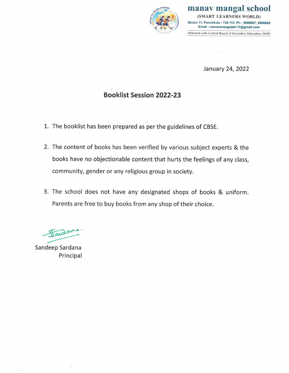

manav mangal school (SMART LEARNERS WORLD) Sector 11, Panchkula - 134 112. Ph : 5066667, 5066668 Email: manavmangalpkl.11@gmail.com Affiliated with Central Board of Secondary Education, Delhi

January 24, 2022

# **Booklist Session 2022-23**

- 1. The booklist has been prepared as per the guidelines of CBSE.
- 2. The content of books has been verified by various subject experts & the books have no objectionable content that hurts the feelings of any class, community, gender or any religious group in society.
- 3. The school does not have any designated shops of books & uniform. Parents are free to buy books from any shop of their choice.

Handama

Sandeep Sardana Principal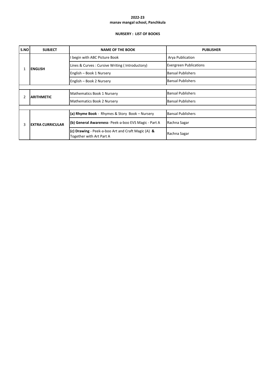## **NURSERY : LIST OF BOOKS**

| S.NO | <b>SUBJECT</b>          | <b>NAME OF THE BOOK</b>                                                        | <b>PUBLISHER</b>              |  |  |
|------|-------------------------|--------------------------------------------------------------------------------|-------------------------------|--|--|
|      |                         | begin with ABC Picture Book                                                    | Arya Publication              |  |  |
|      | <b>ENGLISH</b>          | Lines & Curves: Cursive Writing (Introductory)                                 | <b>Evergreen Publications</b> |  |  |
|      |                         | English - Book 1 Nursery                                                       | <b>Bansal Publishers</b>      |  |  |
|      |                         | English - Book 2 Nursery                                                       | <b>Bansal Publishers</b>      |  |  |
|      |                         |                                                                                |                               |  |  |
| 2    | <b>ARITHMETIC</b>       | Mathematics Book 1 Nursery                                                     | <b>Bansal Publishers</b>      |  |  |
|      |                         | Mathematics Book 2 Nursery                                                     | <b>Bansal Publishers</b>      |  |  |
|      |                         |                                                                                |                               |  |  |
|      | <b>EXTRA CURRICULAR</b> | (a) Rhyme Book - Rhymes & Story Book - Nursery                                 | <b>Bansal Publishers</b>      |  |  |
| 3    |                         | (b) General Awareness- Peek-a-boo EVS Magic - Part A                           | Rachna Sagar                  |  |  |
|      |                         | (c) Drawing - Peek-a-boo Art and Craft Magic (A) &<br>Together with Art Part A | Rachna Sagar                  |  |  |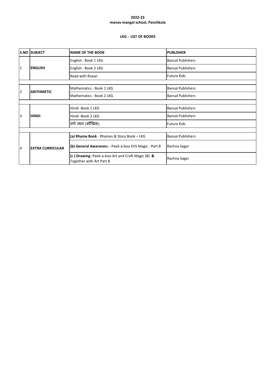## **LKG : LIST OF BOOKS**

|   | <b>S.NO SUBJECT</b>     | <b>NAME OF THE BOOK</b>                                                       | <b>PUBLISHER</b>         |  |  |
|---|-------------------------|-------------------------------------------------------------------------------|--------------------------|--|--|
|   |                         | English: Book 1 LKG                                                           | <b>Bansal Publishers</b> |  |  |
| 1 | <b>ENGLISH</b>          | English: Book 2 LKG                                                           | <b>Bansal Publishers</b> |  |  |
|   |                         | Read with Roxan                                                               | <b>Future Kids</b>       |  |  |
|   |                         |                                                                               |                          |  |  |
| 2 | <b>ARITHMETIC</b>       | Mathematics: Book 1 LKG                                                       | <b>Bansal Publishers</b> |  |  |
|   |                         | Mathematics: Book 2 LKG                                                       | <b>Bansal Publishers</b> |  |  |
|   |                         |                                                                               |                          |  |  |
|   |                         | Hindi-Book 1 LKG                                                              | <b>Bansal Publishers</b> |  |  |
| 3 | <b>HINDI</b>            | Hindi-Book 2 LKG                                                              | <b>Bansal Publishers</b> |  |  |
|   |                         | वर्ण ज्ञान (मौखिक)                                                            | <b>Future Kids</b>       |  |  |
|   |                         |                                                                               |                          |  |  |
|   |                         | (a) Rhyme Book - Rhymes & Story Book - LKG                                    | <b>Bansal Publishers</b> |  |  |
| 4 | <b>EXTRA CURRICULAR</b> | (b) General Awareness - Peek-a-boo EVS Magic - Part B                         | Rachna Sagar             |  |  |
|   |                         | (c) Drawing -Peek-a-boo Art and Craft Magic (B) &<br>Together with Art Part B | Rachna Sagar             |  |  |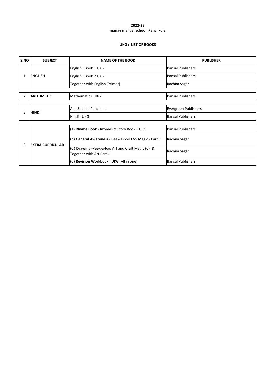## **UKG : LIST OF BOOKS**

| S.NO | <b>SUBJECT</b>          | <b>NAME OF THE BOOK</b>                                                       | <b>PUBLISHER</b>         |
|------|-------------------------|-------------------------------------------------------------------------------|--------------------------|
|      |                         | English: Book 1 UKG                                                           | <b>Bansal Publishers</b> |
|      | <b>ENGLISH</b>          | English: Book 2 UKG                                                           | <b>Bansal Publishers</b> |
|      |                         | Together with English (Primer)                                                | Rachna Sagar             |
|      |                         |                                                                               |                          |
| 2    | <b>ARITHMETIC</b>       | <b>Mathematics UKG</b>                                                        | <b>Bansal Publishers</b> |
|      |                         |                                                                               |                          |
| 3    | <b>HINDI</b>            | Aao Shabad Pehchane                                                           | Evergreen Publishers     |
|      |                         | Hindi - UKG                                                                   | <b>Bansal Publishers</b> |
|      |                         |                                                                               |                          |
|      | <b>EXTRA CURRICULAR</b> | (a) Rhyme Book - Rhymes & Story Book - UKG                                    | <b>Bansal Publishers</b> |
| 3    |                         | (b) General Awareness - Peek-a-boo EVS Magic - Part C                         | Rachna Sagar             |
|      |                         | (c) Drawing -Peek-a-boo Art and Craft Magic (C) &<br>Together with Art Part C | Rachna Sagar             |
|      |                         | (d) Revision Workbook: UKG (All in one)                                       | <b>Bansal Publishers</b> |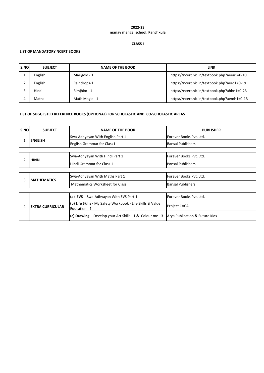# **CLASS I**

## **LIST OF MANDATORY NCERT BOOKS**

| S.NO | <b>SUBJECT</b> | <b>NAME OF THE BOOK</b> | LINK                                         |
|------|----------------|-------------------------|----------------------------------------------|
|      | English        | Marigold - 1            | https://ncert.nic.in/textbook.php?aeen1=0-10 |
|      | English        | Raindrops-1             | https://ncert.nic.in/textbook.php?aerd1=0-19 |
|      | Hindi          | Rimihim - 1             | https://ncert.nic.in/textbook.php?ahhn1=0-23 |
|      | Maths          | Math Magic - 1          | https://ncert.nic.in/textbook.php?aemh1=0-13 |

| S.NO | <b>SUBJECT</b>          | <b>NAME OF THE BOOK</b>                                                     | <b>PUBLISHER</b>               |  |
|------|-------------------------|-----------------------------------------------------------------------------|--------------------------------|--|
|      |                         | Swa-Adhyayan With English Part 1                                            | Forever Books Pyt. Ltd.        |  |
|      | <b>ENGLISH</b>          | <b>English Grammar for Class I</b>                                          | <b>Bansal Publishers</b>       |  |
|      |                         |                                                                             |                                |  |
| 2    | <b>HINDI</b>            | Swa-Adhyayan With Hindi Part 1                                              | Forever Books Pvt. Ltd.        |  |
|      |                         | Hindi Grammar for Class 1                                                   | <b>Bansal Publishers</b>       |  |
|      |                         |                                                                             |                                |  |
| 3    | <b>IMATHEMATICS</b>     | Swa-Adhyayan With Maths Part 1                                              | Forever Books Pyt. Ltd.        |  |
|      |                         | Mathematics Worksheet for Class I                                           | <b>Bansal Publishers</b>       |  |
|      |                         |                                                                             |                                |  |
|      | <b>EXTRA CURRICULAR</b> | $(a)$ EVS - Swa-Adhyayan With EVS Part 1                                    | Forever Books Pvt. Ltd.        |  |
| 4    |                         | (b) Life Skills - My Safety Workbook - Life Skills & Value<br>Education - 1 | <b>Project CACA</b>            |  |
|      |                         | (c) Drawing - Develop your Art Skills - $1$ & Colour me - 3                 | Arya Publication & Future Kids |  |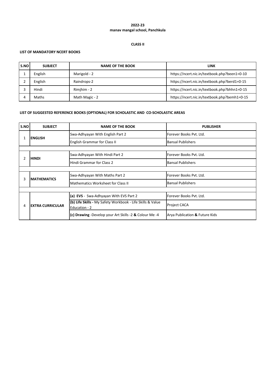# **CLASS II**

# **LIST OF MANDATORY NCERT BOOKS**

| S.NO | <b>SUBJECT</b> | <b>NAME OF THE BOOK</b> | LINK                                         |
|------|----------------|-------------------------|----------------------------------------------|
|      | English        | Marigold - 2            | https://ncert.nic.in/textbook.php?been1=0-10 |
|      | English        | Raindrops-2             | https://ncert.nic.in/textbook.php?berd1=0-15 |
|      | Hindi          | Rimihim - 2             | https://ncert.nic.in/textbook.php?bhhn1=0-15 |
|      | Maths          | Math Magic - 2          | https://ncert.nic.in/textbook.php?bemh1=0-15 |

| S.NO | <b>SUBJECT</b>          | <b>NAME OF THE BOOK</b>                                                     | <b>PUBLISHER</b>               |  |  |
|------|-------------------------|-----------------------------------------------------------------------------|--------------------------------|--|--|
|      | <b>ENGLISH</b>          | Swa-Adhyayan With English Part 2                                            | Forever Books Pyt. Ltd.        |  |  |
|      |                         | <b>English Grammar for Class II</b>                                         | <b>Bansal Publishers</b>       |  |  |
|      |                         |                                                                             |                                |  |  |
|      | <b>HINDI</b>            | Swa-Adhyayan With Hindi Part 2                                              | Forever Books Pvt. Ltd.        |  |  |
|      |                         | Hindi Grammar for Class 2                                                   | <b>Bansal Publishers</b>       |  |  |
|      |                         |                                                                             |                                |  |  |
|      | <b>MATHEMATICS</b>      | Swa-Adhyayan With Maths Part 2                                              | Forever Books Pvt. Ltd.        |  |  |
|      |                         | <b>Mathematics Worksheet for Class II</b>                                   | <b>Bansal Publishers</b>       |  |  |
|      |                         |                                                                             |                                |  |  |
|      | <b>EXTRA CURRICULAR</b> | (a) EVS - Swa-Adhyayan With EVS Part 2                                      | Forever Books Pvt. Ltd.        |  |  |
| 4    |                         | (b) Life Skills - My Safety Workbook - Life Skills & Value<br>Education - 2 | <b>Project CACA</b>            |  |  |
|      |                         | (c) Drawing -Develop your Art Skills -2 & Colour Me -4                      | Arya Publication & Future Kids |  |  |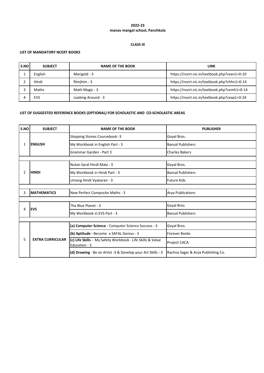## **CLASS III**

## **LIST OF MANDATORY NCERT BOOKS**

| S.NO | <b>SUBJECT</b> | <b>NAME OF THE BOOK</b> | <b>LINK</b>                                  |
|------|----------------|-------------------------|----------------------------------------------|
|      | English        | Marigold - 3            | https://ncert.nic.in/textbook.php?ceen1=0-10 |
|      | Hindi          | Rimihim - 3             | https://ncert.nic.in/textbook.php?chhn1=0-14 |
|      | Maths          | Math Magic - 3          | https://ncert.nic.in/textbook.php?cemh1=0-14 |
|      | <b>EVS</b>     | Looking Around - 3      | https://ncert.nic.in/textbook.php?ceap1=0-24 |

| S.NO | <b>SUBJECT</b>          | <b>NAME OF THE BOOK</b>                                                     | <b>PUBLISHER</b>                   |
|------|-------------------------|-----------------------------------------------------------------------------|------------------------------------|
|      |                         | Stepping Stones Coursebook -3                                               | Goyal Bros.                        |
| 1    | <b>ENGLISH</b>          | My Workbook in English Part - 3                                             | <b>Bansal Publishers</b>           |
|      |                         | Grammar Garden - Part 3                                                     | <b>Charles Bakers</b>              |
|      |                         |                                                                             |                                    |
|      |                         | Nutan Saral Hindi Mala - 3                                                  | Goyal Bros.                        |
| 2    | <b>HINDI</b>            | My Workbook in Hindi Part - 3                                               | <b>Bansal Publishers</b>           |
|      |                         | Umang Hindi Vyakaran - 3                                                    | <b>Future Kids</b>                 |
|      |                         |                                                                             |                                    |
| 3    | <b>MATHEMATICS</b>      | New Perfect Composite Maths - 3                                             | <b>Arva Publications</b>           |
|      |                         |                                                                             |                                    |
| 4    | <b>IEVS</b>             | The Blue Planet - 3                                                         | Goyal Bros                         |
|      |                         | My Workbook in EVS Part - 3                                                 | <b>Bansal Publishers</b>           |
|      |                         |                                                                             |                                    |
|      |                         | (a) Computer Science - Computer Science Success - 3                         | Goyal Bros.                        |
| 5    |                         | (b) Aptitude - Become a SAFAL Genius - 3                                    | <b>Forever Books</b>               |
|      | <b>EXTRA CURRICULAR</b> | (c) Life Skills - My Safety Workbook - Life Skills & Value<br>Education - 3 | Project CACA                       |
|      |                         | (d) Drawing - Be an Artist -3 & Develop your Art Skills - 3                 | Rachna Sagar & Arya Publishing Co. |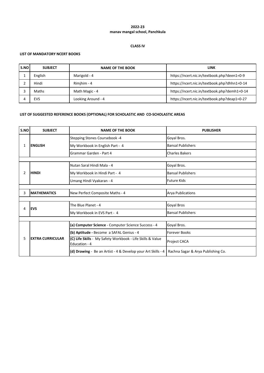## **CLASS IV**

## **LIST OF MANDATORY NCERT BOOKS**

| S.NO | <b>SUBJECT</b> | <b>NAME OF THE BOOK</b> | <b>LINK</b>                                  |
|------|----------------|-------------------------|----------------------------------------------|
|      | English        | Marigold - 4            | https://ncert.nic.in/textbook.php?deen1=0-9  |
|      | Hindi          | Rimjhim - 4             | https://ncert.nic.in/textbook.php?dhhn1=0-14 |
|      | Maths          | Math Magic - 4          | https://ncert.nic.in/textbook.php?demh1=0-14 |
|      | <b>EVS</b>     | Looking Around - 4      | https://ncert.nic.in/textbook.php?deap1=0-27 |

| S.NO | <b>SUBJECT</b>          | <b>NAME OF THE BOOK</b>                                                     | <b>PUBLISHER</b>                   |
|------|-------------------------|-----------------------------------------------------------------------------|------------------------------------|
|      |                         | Stepping Stones Coursebook -4                                               | Goyal Bros.                        |
| 1    | <b>ENGLISH</b>          | My Workbook in English Part - 4                                             | <b>Bansal Publishers</b>           |
|      |                         | Grammar Garden - Part 4                                                     | <b>Charles Bakers</b>              |
|      |                         |                                                                             |                                    |
|      |                         | Nutan Saral Hindi Mala - 4                                                  | Goyal Bros.                        |
| 2    | <b>HINDI</b>            | My Workbook in Hindi Part - 4                                               | <b>Bansal Publishers</b>           |
|      |                         | Umang Hindi Vyakaran - 4                                                    | <b>Future Kids</b>                 |
|      |                         |                                                                             |                                    |
| 3    | <b>MATHEMATICS</b>      | New Perfect Composite Maths - 4                                             | <b>Arya Publications</b>           |
|      |                         |                                                                             |                                    |
| 4    | <b>IEVS</b>             | The Blue Planet - 4                                                         | Goyal Bros                         |
|      |                         | My Workbook in EVS Part - 4                                                 | <b>Bansal Publishers</b>           |
|      |                         |                                                                             |                                    |
|      | <b>EXTRA CURRICULAR</b> | (a) Computer Science - Computer Science Success - 4                         | Goyal Bros.                        |
|      |                         | (b) Aptitude - Become a SAFAL Genius - 4                                    | <b>Forever Books</b>               |
| 5    |                         | (C) Life Skills - My Safety Workbook - Life Skills & Value<br>Education - 4 | Project CACA                       |
|      |                         | (d) Drawing - Be an Artist - 4 & Develop your Art Skills - 4                | Rachna Sagar & Arya Publishing Co. |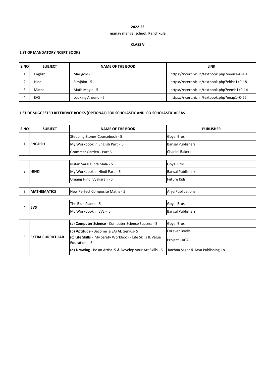# **manav mangal school, Panchkula 2022-23**

## **CLASS V**

## **LIST OF MANDATORY NCERT BOOKS**

| S.NO | <b>SUBJECT</b> | <b>NAME OF THE BOOK</b> | LINK                                         |
|------|----------------|-------------------------|----------------------------------------------|
|      | English        | Marigold - 5            | https://ncert.nic.in/textbook.php?eeen1=0-10 |
|      | Hindi          | Rimihim - 5             | https://ncert.nic.in/textbook.php?ehhn1=0-18 |
|      | Maths          | Math Magic - 5          | https://ncert.nic.in/textbook.php?eemh1=0-14 |
|      | <b>EVS</b>     | Looking Around - 5      | https://ncert.nic.in/textbook.php?eeap1=0-22 |

| S.NO          | <b>SUBJECT</b>          | <b>NAME OF THE BOOK</b>                                                     | <b>PUBLISHER</b>                   |  |  |
|---------------|-------------------------|-----------------------------------------------------------------------------|------------------------------------|--|--|
|               | <b>ENGLISH</b>          | Stepping Stones Coursebook - 5                                              | Goyal Bros.                        |  |  |
| 1             |                         | My Workbook in English Part - 5                                             | <b>Bansal Publishers</b>           |  |  |
|               |                         | Grammar Garden - Part 5                                                     | <b>Charles Bakers</b>              |  |  |
|               |                         |                                                                             |                                    |  |  |
|               |                         | Nutan Saral Hindi Mala - 5                                                  | Goyal Bros.                        |  |  |
| $\mathcal{P}$ | <b>HINDI</b>            | My Workbook in Hindi Part - 5                                               | <b>Bansal Publishers</b>           |  |  |
|               |                         | Umang Hindi Vyakaran - 5                                                    | <b>Future Kids</b>                 |  |  |
|               |                         |                                                                             |                                    |  |  |
| 3             | <b>MATHEMATICS</b>      | New Perfect Composite Maths - 5                                             | <b>Arya Publications</b>           |  |  |
|               |                         |                                                                             |                                    |  |  |
| 4             | <b>IEVS</b>             | The Blue Planet - 5                                                         | Goyal Bros                         |  |  |
|               |                         | My Workbook in EVS - 5                                                      | <b>Bansal Publishers</b>           |  |  |
|               |                         |                                                                             |                                    |  |  |
|               | <b>EXTRA CURRICULAR</b> | (a) Computer Science - Computer Science Success - 5                         | Goyal Bros.                        |  |  |
|               |                         | (b) Aptitude - Become a SAFAL Genius- 5                                     | <b>Forever Books</b>               |  |  |
| 5             |                         | (c) Life Skills - My Safety Workbook - Life Skills & Value<br>Education - 5 | Project CACA                       |  |  |
|               |                         | (d) Drawing - Be an Artist -5 & Develop your Art Skills - 5                 | Rachna Sagar & Arya Publishing Co. |  |  |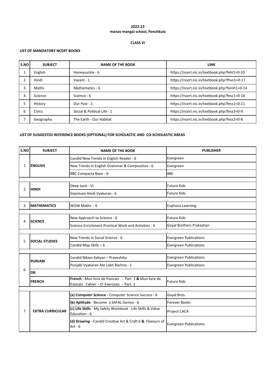## **CLASS VI**

#### **LIST OF MANDATORY NCERT BOOKS**

| S.NO | <b>SUBJECT</b> | <b>NAME OF THE BOOK</b>     | <b>LINK</b>                                  |
|------|----------------|-----------------------------|----------------------------------------------|
| 1    | English        | Honeysuckle - 6             | https://ncert.nic.in/textbook.php?fehl1=0-10 |
|      | Hindi          | Vasant - 1                  | https://ncert.nic.in/textbook.php?fhvs1=0-17 |
|      | Maths          | Mathematics - 6             | https://ncert.nic.in/textbook.php?femh1=0-14 |
| 4    | Science        | Science - 6                 | https://ncert.nic.in/textbook.php?fesc1=0-16 |
|      | History        | Our Past - 1                | https://ncert.nic.in/textbook.php?fess1=0-11 |
| 6    | <b>Civics</b>  | Social & Political Life - 1 | https://ncert.nic.in/textbook.php?fess3=0-9  |
|      | Geography      | The Earth - Our Habitat     | https://ncert.nic.in/textbook.php?fess2=0-8  |

| S.NO | <b>SUBJECT</b>          | <b>NAME OF THE BOOK</b>                                                                           | <b>PUBLISHER</b>              |  |  |
|------|-------------------------|---------------------------------------------------------------------------------------------------|-------------------------------|--|--|
|      | <b>IENGLISH</b>         | Candid New Trends in English Reader - 6                                                           | Evergreen                     |  |  |
| 1    |                         | New Trends in English Grammar & Composition - 6                                                   | Evergreen                     |  |  |
|      |                         | <b>BBC Compacta Basic - 6</b>                                                                     | <b>BBC</b>                    |  |  |
|      |                         |                                                                                                   |                               |  |  |
| 2    | <b>HINDI</b>            | Deep Jyoti - VI                                                                                   | <b>Future Kids</b>            |  |  |
|      |                         | Gianmani Hindi Vyakaran - 6                                                                       | <b>Future Kids</b>            |  |  |
|      |                         |                                                                                                   |                               |  |  |
| 3    | <b>MATHEMATICS</b>      | WOW Maths - 6                                                                                     | <b>Eupheus Learning</b>       |  |  |
|      |                         |                                                                                                   |                               |  |  |
| 4    | <b>SCIENCE</b>          | New Approach to Science - 6                                                                       | <b>Future Kids</b>            |  |  |
|      |                         | Science Enrichment Practical Work and Activities - 6                                              | Goyal Brothers Prakashan      |  |  |
|      |                         |                                                                                                   |                               |  |  |
| 5    | <b>SOCIAL STUDIES</b>   | New Trends in Social Science - 6                                                                  | <b>Evergreen Publications</b> |  |  |
|      |                         | Candid Map Skills - 6                                                                             | <b>Evergreen Publications</b> |  |  |
|      |                         |                                                                                                   |                               |  |  |
|      | <b>PUNJABI</b>          | Candid Nikian Kaliyan - Praveshika                                                                | <b>Evergreen Publications</b> |  |  |
|      |                         | Punjabi Vyakaran Ate Lekh Rachna - 1                                                              | <b>Evergreen Publications</b> |  |  |
| 6    | <b>OR</b>               |                                                                                                   |                               |  |  |
|      | <b>FRENCH</b>           | French - Mon livre de francais - Part 1 & Mon livre de<br>francais Cahier - D' Exercices - Part 1 | <b>Future Kids</b>            |  |  |
|      |                         |                                                                                                   |                               |  |  |
|      |                         | (a) Computer Science - Computer Science Success - 6                                               | Goyal Bros.                   |  |  |
|      |                         | (b) Aptitude - Become a SAFAL Genius - 6                                                          | <b>Forever Books</b>          |  |  |
| 7    | <b>EXTRA CURRICULAR</b> | (c) Life Skills - My Safety Workbook - Life Skills & Value<br>Education - 6                       | Project CACA                  |  |  |
|      |                         | (d) Drawing - Candid Creative Art & Craft 6 & Flavours of<br>$Art - 6$                            | <b>Evergreen Publications</b> |  |  |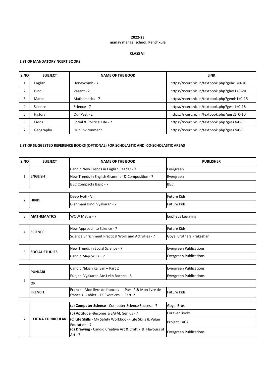#### **CLASS VII**

#### **LIST OF MANDATORY NCERT BOOKS**

| S.NO | <b>SUBJECT</b> | <b>NAME OF THE BOOK</b>     | <b>LINK</b>                                  |
|------|----------------|-----------------------------|----------------------------------------------|
|      | English        | Honeycomb - 7               | https://ncert.nic.in/textbook.php?gehc1=0-10 |
|      | Hindi          | Vasant - 2                  | https://ncert.nic.in/textbook.php?ghvs1=0-20 |
|      | Maths          | Mathematics - 7             | https://ncert.nic.in/textbook.php?gemh1=0-15 |
| 4    | Science        | Science - 7                 | https://ncert.nic.in/textbook.php?gesc1=0-18 |
|      | History        | Our Past - 2                | https://ncert.nic.in/textbook.php?gess1=0-10 |
| 6    | <b>Civics</b>  | Social & Political Life - 2 | https://ncert.nic.in/textbook.php?gess3=0-9  |
|      | Geography      | <b>Our Environment</b>      | https://ncert.nic.in/textbook.php?gess2=0-9  |

| S.NO         | <b>SUBJECT</b>          | <b>NAME OF THE BOOK</b>                                                                           | <b>PUBLISHER</b>              |
|--------------|-------------------------|---------------------------------------------------------------------------------------------------|-------------------------------|
|              | <b>ENGLISH</b>          | Candid New Trends in English Reader - 7                                                           | Evergreen                     |
| $\mathbf{1}$ |                         | New Trends in English Grammar & Composition - 7                                                   | Evergreen                     |
|              |                         | <b>BBC Compacta Basic - 7</b>                                                                     | <b>BBC</b>                    |
|              |                         |                                                                                                   |                               |
| 2            | <b>HINDI</b>            | Deep Jyoti - VII                                                                                  | <b>Future Kids</b>            |
|              |                         | Gianmani Hindi Vyakaran - 7                                                                       | <b>Future Kids</b>            |
|              |                         |                                                                                                   |                               |
| 3            | <b>MATHEMATICS</b>      | WOW Maths - 7                                                                                     | <b>Eupheus Learning</b>       |
|              |                         |                                                                                                   |                               |
| 4            | <b>SCIENCE</b>          | New Approach to Science - 7                                                                       | <b>Future Kids</b>            |
|              |                         | Science Enrichment Practical Work and Activities - 7                                              | Goyal Brothers Prakashan      |
|              |                         |                                                                                                   |                               |
| 5            | <b>SOCIAL STUDIES</b>   | New Trends in Social Science - 7                                                                  | <b>Evergreen Publications</b> |
|              |                         | Candid Map Skills - 7                                                                             | <b>Evergreen Publications</b> |
|              |                         |                                                                                                   |                               |
|              | <b>PUNJABI</b>          | Candid Nikian Kaliyan - Part 2                                                                    | <b>Evergreen Publications</b> |
|              |                         | Punjabi Vyakaran Ate Lekh Rachna - 5                                                              | <b>Evergreen Publications</b> |
| 6            | <b>OR</b>               |                                                                                                   |                               |
|              | <b>FRENCH</b>           | French - Mon livre de francais - Part 2 & Mon livre de<br>francais Cahier - D' Exercices - Part 2 | <b>Future Kids</b>            |
|              |                         |                                                                                                   |                               |
|              |                         | (a) Computer Science - Computer Science Success - 7                                               | Goyal Bros.                   |
|              |                         | (b) Aptitude -Become a SAFAL Genius - 7                                                           | <b>Forever Books</b>          |
| 7            | <b>EXTRA CURRICULAR</b> | (c) Life Skills - My Safety Workbook - Life Skills & Value<br>Education - 7                       | Project CACA                  |
|              |                         | (d) Drawing - Candid Creative Art & Craft 7 & Flavours of<br>Art - $7$                            | <b>Evergreen Publications</b> |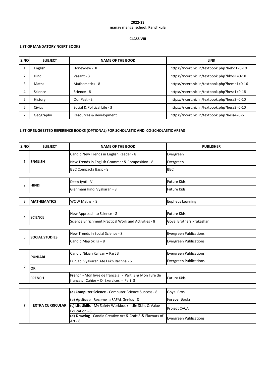## **CLASS VIII**

# **LIST OF MANDATORY NCERT BOOKS**

| S.NO | <b>SUBJECT</b> | <b>NAME OF THE BOOK</b>     | <b>LINK</b>                                  |
|------|----------------|-----------------------------|----------------------------------------------|
|      | English        | Honeydew - 8                | https://ncert.nic.in/textbook.php?hehd1=0-10 |
|      | Hindi          | Vasant - $3$                | https://ncert.nic.in/textbook.php?hhvs1=0-18 |
| 3    | Maths          | Mathematics - 8             | https://ncert.nic.in/textbook.php?hemh1=0-16 |
| 4    | Science        | Science - 8                 | https://ncert.nic.in/textbook.php?hesc1=0-18 |
| 5    | History        | Our Past - 3                | https://ncert.nic.in/textbook.php?hess2=0-10 |
| 6    | Civics         | Social & Political Life - 3 | https://ncert.nic.in/textbook.php?hess3=0-10 |
|      | Geography      | Resources & development     | https://ncert.nic.in/textbook.php?hess4=0-6  |

| S.NO           | <b>SUBJECT</b>          | <b>NAME OF THE BOOK</b>                                                                           | <b>PUBLISHER</b>              |  |  |
|----------------|-------------------------|---------------------------------------------------------------------------------------------------|-------------------------------|--|--|
|                | <b>ENGLISH</b>          | Candid New Trends in English Reader - 8                                                           | Evergreen                     |  |  |
| $\mathbf{1}$   |                         | New Trends in English Grammar & Composition - 8                                                   | Evergreen                     |  |  |
|                |                         | <b>BBC Compacta Basic - 8</b>                                                                     | <b>BBC</b>                    |  |  |
|                |                         |                                                                                                   |                               |  |  |
| $\overline{2}$ | <b>HINDI</b>            | Deep Jyoti - VIII                                                                                 | <b>Future Kids</b>            |  |  |
|                |                         | Gianmani Hindi Vyakaran - 8                                                                       | <b>Future Kids</b>            |  |  |
|                |                         |                                                                                                   |                               |  |  |
| 3              | <b>MATHEMATICS</b>      | WOW Maths - 8                                                                                     | <b>Eupheus Learning</b>       |  |  |
|                |                         |                                                                                                   |                               |  |  |
| 4              | <b>SCIENCE</b>          | New Approach to Science - 8                                                                       | <b>Future Kids</b>            |  |  |
|                |                         | Science Enrichment Practical Work and Activities - 8                                              | Goyal Brothers Prakashan      |  |  |
|                |                         |                                                                                                   |                               |  |  |
| 5              | <b>SOCIAL STUDIES</b>   | New Trends in Social Science - 8                                                                  | <b>Evergreen Publications</b> |  |  |
|                |                         | Candid Map Skills - 8                                                                             | <b>Evergreen Publications</b> |  |  |
|                |                         |                                                                                                   |                               |  |  |
|                | <b>PUNJABI</b>          | Candid Nikian Kaliyan - Part 3                                                                    | <b>Evergreen Publications</b> |  |  |
|                |                         | Punjabi Vyakaran Ate Lekh Rachna - 6                                                              | <b>Evergreen Publications</b> |  |  |
| 6              | <b>OR</b>               |                                                                                                   |                               |  |  |
|                | <b>FRENCH</b>           | French - Mon livre de francais - Part 3 & Mon livre de<br>francais Cahier - D' Exercices - Part 3 | <b>Future Kids</b>            |  |  |
|                |                         |                                                                                                   |                               |  |  |
|                |                         | (a) Computer Science - Computer Science Success - 8                                               | Goyal Bros.                   |  |  |
|                |                         | (b) Aptitude - Become a SAFAL Genius - 8                                                          | <b>Forever Books</b>          |  |  |
| 7              | <b>EXTRA CURRICULAR</b> | (c) Life Skills - My Safety Workbook - Life Skills & Value<br>Education - 8                       | Project CACA                  |  |  |
|                |                         | (d) Drawing - Candid Creative Art & Craft 8 & Flavours of<br>$Art - 8$                            | <b>Evergreen Publications</b> |  |  |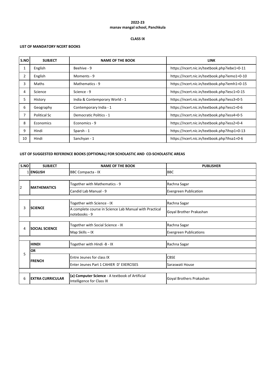## **CLASS IX**

# **LIST OF MANDATORY NCERT BOOKS**

| S.NO           | <b>SUBJECT</b>      | <b>NAME OF THE BOOK</b>        | <b>LINK</b>                                  |
|----------------|---------------------|--------------------------------|----------------------------------------------|
| 1              | English             | Beehive - 9                    | https://ncert.nic.in/textbook.php?iebe1=0-11 |
| $\overline{2}$ | English             | Moments - 9                    | https://ncert.nic.in/textbook.php?iemo1=0-10 |
| 3              | Maths               | Mathematics - 9                | https://ncert.nic.in/textbook.php?iemh1=0-15 |
| 4              | Science             | Science - 9                    | https://ncert.nic.in/textbook.php?iesc1=0-15 |
| 5              | History             | India & Contemporary World - 1 | https://ncert.nic.in/textbook.php?iess3=0-5  |
| 6              | Geography           | Contemporary India - 1         | https://ncert.nic.in/textbook.php?iess1=0-6  |
| 7              | <b>Political Sc</b> | Democratic Politics - 1        | https://ncert.nic.in/textbook.php?iess4=0-5  |
| 8              | Economics           | Economics - 9                  | https://ncert.nic.in/textbook.php?iess2=0-4  |
| 9              | Hindi               | Sparsh - 1                     | https://ncert.nic.in/textbook.php?ihsp1=0-13 |
| 10             | Hindi               | Sanchyan - 1                   | https://ncert.nic.in/textbook.php?ihsa1=0-6  |

| S.NO | <b>SUBJECT</b>          | <b>NAME OF THE BOOK</b>                                                      | <b>PUBLISHER</b>              |  |  |
|------|-------------------------|------------------------------------------------------------------------------|-------------------------------|--|--|
| 1    | <b>ENGLISH</b>          | <b>BBC Compacta - IX</b>                                                     | <b>BBC</b>                    |  |  |
|      |                         |                                                                              |                               |  |  |
| 2    | <b>MATHEMATICS</b>      | Together with Mathematics - 9                                                | Rachna Sagar                  |  |  |
|      |                         | Candid Lab Manual - 9                                                        | <b>Evergreen Publication</b>  |  |  |
|      |                         |                                                                              |                               |  |  |
|      |                         | Together with Science - IX                                                   | Rachna Sagar                  |  |  |
| 3    | <b>SCIENCE</b>          | A complete course in Science Lab Manual with Practical<br>notebooks - 9      | Goyal Brother Prakashan       |  |  |
|      |                         |                                                                              |                               |  |  |
| 4    | <b>SOCIAL SCIENCE</b>   | Together with Social Science - IX                                            | Rachna Sagar                  |  |  |
|      |                         | Map Skills - IX                                                              | <b>Evergreen Publications</b> |  |  |
|      |                         |                                                                              |                               |  |  |
|      | <b>HINDI</b>            | Together with Hindi -B - IX                                                  | Rachna Sagar                  |  |  |
| 5    | <b>OR</b>               |                                                                              |                               |  |  |
|      | <b>FRENCH</b>           | Entre Jeunes for class IX                                                    | <b>CBSE</b>                   |  |  |
|      |                         | Enter Jeunes Part 1 CAHIER D' EXERCISES                                      | Saraswati House               |  |  |
|      |                         |                                                                              |                               |  |  |
| 6    | <b>EXTRA CURRICULAR</b> | (a) Computer Science - A textbook of Artificial<br>Intelligence for Class IX | Goyal Brothers Prakashan      |  |  |